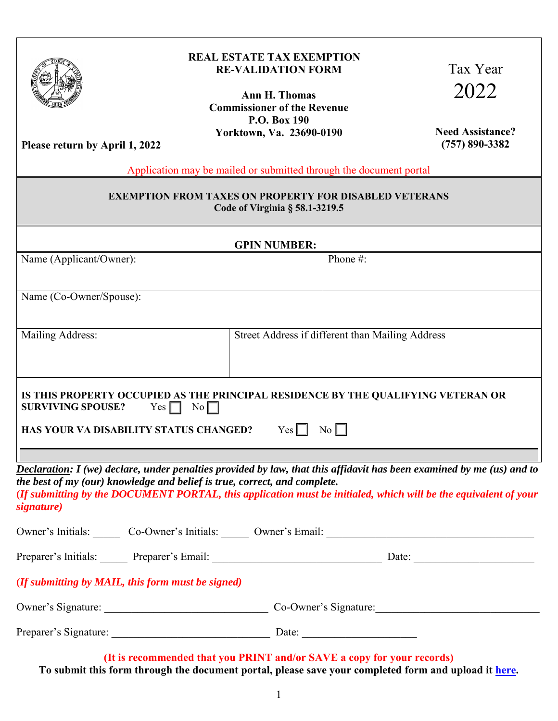

## **REAL ESTATE TAX EXEMPTION RE-VALIDATION FORM**

**Ann H. Thomas Commissioner of the Revenue P.O. Box 190 Yorktown, Va. 23690-0190**

Tax Year 2022

**Need Assistance? (757) 890-3382**

**Please return by April 1, 2022** 

Application may be mailed or submitted through the document portal

## **EXEMPTION FROM TAXES ON PROPERTY FOR DISABLED VETERANS Code of Virginia § 58.1-3219.5**

| <b>GPIN NUMBER:</b>                                                                                      |                                                                                                                                                                                                                                          |  |
|----------------------------------------------------------------------------------------------------------|------------------------------------------------------------------------------------------------------------------------------------------------------------------------------------------------------------------------------------------|--|
| Name (Applicant/Owner):                                                                                  | Phone #:                                                                                                                                                                                                                                 |  |
| Name (Co-Owner/Spouse):                                                                                  |                                                                                                                                                                                                                                          |  |
| Mailing Address:                                                                                         | Street Address if different than Mailing Address                                                                                                                                                                                         |  |
| $Yes \Box No \Box$<br><b>SURVIVING SPOUSE?</b><br>HAS YOUR VA DISABILITY STATUS CHANGED? $Yes$ $\Box$ No | IS THIS PROPERTY OCCUPIED AS THE PRINCIPAL RESIDENCE BY THE QUALIFYING VETERAN OR                                                                                                                                                        |  |
| the best of my (our) knowledge and belief is true, correct, and complete.<br>signature)                  | Declaration: I (we) declare, under penalties provided by law, that this affidavit has been examined by me (us) and to<br>(If submitting by the DOCUMENT PORTAL, this application must be initialed, which will be the equivalent of your |  |
|                                                                                                          | Owner's Initials: Co-Owner's Initials: Co-Owner's Email: Councerty Email:                                                                                                                                                                |  |
|                                                                                                          | Preparer's Initials: Preparer's Email: Date: Date: Date:                                                                                                                                                                                 |  |
| (If submitting by MAIL, this form must be signed)                                                        |                                                                                                                                                                                                                                          |  |
|                                                                                                          | Owner's Signature: Co-Owner's Signature:                                                                                                                                                                                                 |  |
|                                                                                                          |                                                                                                                                                                                                                                          |  |

**(It is recommended that you PRINT and/or SAVE a copy for your records) To submit this form through the document portal, please save your completed form and upload it [here.](https://lfportal.yorkcounty.gov/forms/cor-correspondence)**